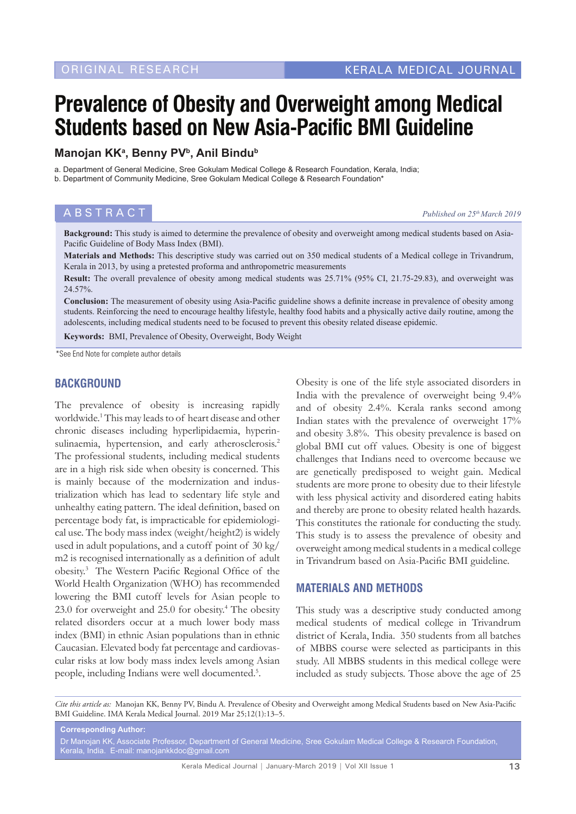# **Prevalence of Obesity and Overweight among Medical Students based on New Asia-Pacific BMI Guideline**

# **Manojan KKa , Benny PVb, Anil Bindub**

a. Department of General Medicine, Sree Gokulam Medical College & Research Foundation, Kerala, India; b. Department of Community Medicine, Sree Gokulam Medical College & Research Foundation\*

**ABSTRACT** *Published on 25<sup>th</sup> March 2019* 

**Background:** This study is aimed to determine the prevalence of obesity and overweight among medical students based on Asia-Pacific Guideline of Body Mass Index (BMI).

**Materials and Methods:** This descriptive study was carried out on 350 medical students of a Medical college in Trivandrum, Kerala in 2013, by using a pretested proforma and anthropometric measurements

**Result:** The overall prevalence of obesity among medical students was 25.71% (95% CI, 21.75-29.83), and overweight was 24.57%.

**Conclusion:** The measurement of obesity using Asia-Pacific guideline shows a definite increase in prevalence of obesity among students. Reinforcing the need to encourage healthy lifestyle, healthy food habits and a physically active daily routine, among the adolescents, including medical students need to be focused to prevent this obesity related disease epidemic.

**Keywords:** BMI, Prevalence of Obesity, Overweight, Body Weight

\*See End Note for complete author details

#### **BACKGROUND**

The prevalence of obesity is increasing rapidly worldwide.1 This may leads to of heart disease and other chronic diseases including hyperlipidaemia, hyperinsulinaemia, hypertension, and early atherosclerosis.<sup>2</sup> The professional students, including medical students are in a high risk side when obesity is concerned. This is mainly because of the modernization and industrialization which has lead to sedentary life style and unhealthy eating pattern. The ideal definition, based on percentage body fat, is impracticable for epidemiological use. The body mass index (weight/height2) is widely used in adult populations, and a cutoff point of 30 kg/ m2 is recognised internationally as a definition of adult obesity.3 The Western Pacific Regional Office of the World Health Organization (WHO) has recommended lowering the BMI cutoff levels for Asian people to 23.0 for overweight and 25.0 for obesity.<sup>4</sup> The obesity related disorders occur at a much lower body mass index (BMI) in ethnic Asian populations than in ethnic Caucasian. Elevated body fat percentage and cardiovascular risks at low body mass index levels among Asian people, including Indians were well documented.<sup>5</sup>.

Obesity is one of the life style associated disorders in India with the prevalence of overweight being 9.4% and of obesity 2.4%. Kerala ranks second among Indian states with the prevalence of overweight 17% and obesity 3.8%. This obesity prevalence is based on global BMI cut off values. Obesity is one of biggest challenges that Indians need to overcome because we are genetically predisposed to weight gain. Medical students are more prone to obesity due to their lifestyle with less physical activity and disordered eating habits and thereby are prone to obesity related health hazards. This constitutes the rationale for conducting the study. This study is to assess the prevalence of obesity and overweight among medical students in a medical college in Trivandrum based on Asia-Pacific BMI guideline.

#### **MATERIALS AND METHODS**

This study was a descriptive study conducted among medical students of medical college in Trivandrum district of Kerala, India. 350 students from all batches of MBBS course were selected as participants in this study. All MBBS students in this medical college were included as study subjects. Those above the age of 25

*Cite this article as:* Manojan KK, Benny PV, Bindu A. Prevalence of Obesity and Overweight among Medical Students based on New Asia-Pacific BMI Guideline. IMA Kerala Medical Journal. 2019 Mar 25;12(1):13–5.

**Corresponding Author:** Dr Manojan KK, Associate Professor, Department of General Medicine, Sree Gokulam Medical College & Research Foundation, Kerala, India. E-mail: manojankkdoc@gmail.com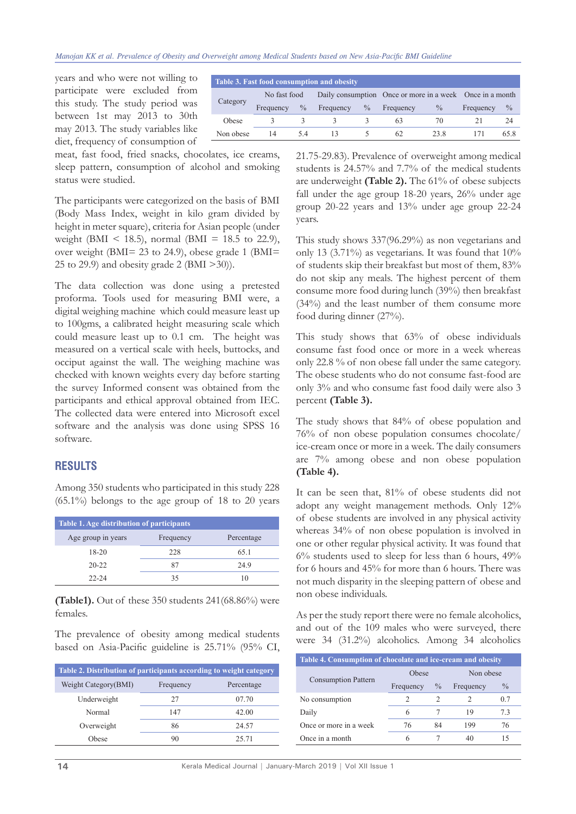#### *Manojan KK et al. Prevalence of Obesity and Overweight among Medical Students based on New Asia-Pacific BMI Guideline*

years and who were not willing to participate were excluded from this study. The study period was between 1st may 2013 to 30th may 2013. The study variables like diet, frequency of consumption of

| Table 3. Fast food consumption and obesity |              |               |           |               |                                                          |               |           |      |
|--------------------------------------------|--------------|---------------|-----------|---------------|----------------------------------------------------------|---------------|-----------|------|
| Category                                   | No fast food |               |           |               | Daily consumption Once or more in a week Once in a month |               |           |      |
|                                            | Frequency    | $\frac{0}{0}$ | Frequency | $\frac{0}{0}$ | Frequency                                                | $\frac{0}{0}$ | Frequency | $\%$ |
| Obese                                      |              |               |           |               | 63                                                       | 70            |           | 24   |
| Non obese                                  | 14           | 5.4           | 13        |               | 62                                                       | 23.8          |           | 65.8 |
|                                            |              |               |           |               |                                                          |               |           |      |

meat, fast food, fried snacks, chocolates, ice creams, sleep pattern, consumption of alcohol and smoking status were studied.

The participants were categorized on the basis of BMI (Body Mass Index, weight in kilo gram divided by height in meter square), criteria for Asian people (under weight (BMI < 18.5), normal (BMI = 18.5 to 22.9), over weight (BMI= 23 to 24.9), obese grade 1 (BMI= 25 to 29.9) and obesity grade 2 (BMI >30)).

The data collection was done using a pretested proforma. Tools used for measuring BMI were, a digital weighing machine which could measure least up to 100gms, a calibrated height measuring scale which could measure least up to 0.1 cm. The height was measured on a vertical scale with heels, buttocks, and occiput against the wall. The weighing machine was checked with known weights every day before starting the survey Informed consent was obtained from the participants and ethical approval obtained from IEC. The collected data were entered into Microsoft excel software and the analysis was done using SPSS 16 software.

### **RESULTS**

Among 350 students who participated in this study 228  $(65.1\%)$  belongs to the age group of 18 to 20 years

| Table 1. Age distribution of participants |           |            |  |  |  |  |
|-------------------------------------------|-----------|------------|--|--|--|--|
| Age group in years                        | Frequency | Percentage |  |  |  |  |
| $18-20$                                   | 228       | 65.1       |  |  |  |  |
| $20 - 22$                                 | 87        | 24.9       |  |  |  |  |
| $22 - 24$                                 | 35        |            |  |  |  |  |

**(Table1).** Out of these 350 students 241(68.86%) were females.

The prevalence of obesity among medical students based on Asia-Pacific guideline is 25.71% (95% CI,

| Table 2. Distribution of participants according to weight category |           |                |  |  |  |
|--------------------------------------------------------------------|-----------|----------------|--|--|--|
| Weight Category (BMI)                                              | Frequency | Percentage     |  |  |  |
| Underweight                                                        | 27        | 07.70          |  |  |  |
| Normal                                                             | 147       | 42.00<br>24.57 |  |  |  |
| Overweight                                                         | 86        |                |  |  |  |
| Obese                                                              | 90        | 25.71          |  |  |  |

21.75-29.83). Prevalence of overweight among medical students is 24.57% and 7.7% of the medical students are underweight **(Table 2).** The 61% of obese subjects fall under the age group 18-20 years, 26% under age group 20-22 years and 13% under age group 22-24 years.

This study shows 337(96.29%) as non vegetarians and only 13 (3.71%) as vegetarians. It was found that 10% of students skip their breakfast but most of them, 83% do not skip any meals. The highest percent of them consume more food during lunch (39%) then breakfast (34%) and the least number of them consume more food during dinner (27%).

This study shows that 63% of obese individuals consume fast food once or more in a week whereas only 22.8 % of non obese fall under the same category. The obese students who do not consume fast-food are only 3% and who consume fast food daily were also 3 percent **(Table 3).** 

The study shows that 84% of obese population and 76% of non obese population consumes chocolate/ ice-cream once or more in a week. The daily consumers are 7% among obese and non obese population **(Table 4).**

It can be seen that, 81% of obese students did not adopt any weight management methods. Only 12% of obese students are involved in any physical activity whereas 34% of non obese population is involved in one or other regular physical activity. It was found that  $6\%$  students used to sleep for less than 6 hours,  $49\%$ for 6 hours and 45% for more than 6 hours. There was not much disparity in the sleeping pattern of obese and non obese individuals.

As per the study report there were no female alcoholics, and out of the 109 males who were surveyed, there were 34 (31.2%) alcoholics. Among 34 alcoholics

| Table 4. Consumption of chocolate and ice-cream and obesity |           |               |           |               |  |  |  |
|-------------------------------------------------------------|-----------|---------------|-----------|---------------|--|--|--|
| <b>Consumption Pattern</b>                                  | Obese     |               | Non obese |               |  |  |  |
|                                                             | Frequency | $\frac{0}{0}$ | Frequency | $\frac{0}{0}$ |  |  |  |
| No consumption                                              |           |               |           | 0.7           |  |  |  |
| Daily                                                       | 6         |               | 19        | 7.3           |  |  |  |
| Once or more in a week                                      | 76        | 84            | 199       | 76            |  |  |  |
| Once in a month                                             | 6         |               |           |               |  |  |  |